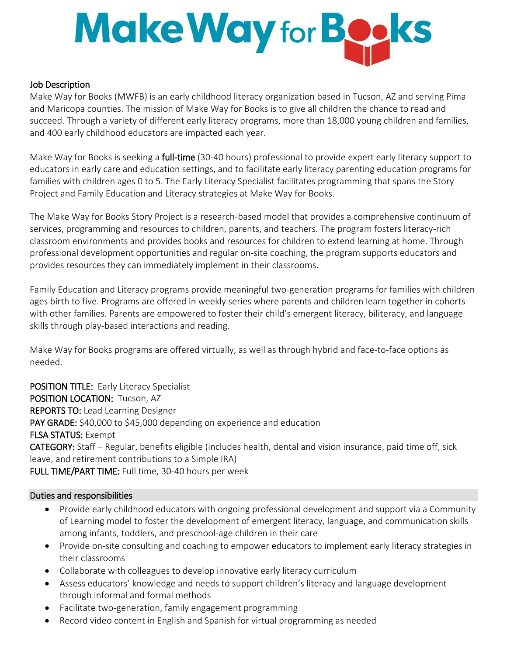## Make Way for Books

## Job Description

Make Way for Books (MWFB) is an early childhood literacy organization based in Tucson, AZ and serving Pima and Maricopa counties. The mission of Make Way for Books is to give all children the chance to read and succeed. Through a variety of different early literacy programs, more than 18,000 young children and families, and 400 early childhood educators are impacted each year.

Make Way for Books is seeking a **full-time** (30-40 hours) professional to provide expert early literacy support to educators in early care and education settings, and to facilitate early literacy parenting education programs for families with children ages 0 to 5. The Early Literacy Specialist facilitates programming that spans the Story Project and Family Education and Literacy strategies at Make Way for Books.

The Make Way for Books Story Project is a research-based model that provides a comprehensive continuum of services, programming and resources to children, parents, and teachers. The program fosters literacy-rich classroom environments and provides books and resources for children to extend learning at home. Through professional development opportunities and regular on-site coaching, the program supports educators and provides resources they can immediately implement in their classrooms.

Family Education and Literacy programs provide meaningful two-generation programs for families with children ages birth to five. Programs are offered in weekly series where parents and children learn together in cohorts with other families. Parents are empowered to foster their child's emergent literacy, biliteracy, and language skills through play-based interactions and reading.

Make Way for Books programs are offered virtually, as well as through hybrid and face-to-face options as needed.

POSITION TITLE: Early Literacy Specialist POSITION LOCATION: Tucson, AZ REPORTS TO: Lead Learning Designer PAY GRADE: \$40,000 to \$45,000 depending on experience and education FLSA STATUS: Exempt CATEGORY: Staff – Regular, benefits eligible (includes health, dental and vision insurance, paid time off, sick leave, and retirement contributions to a Simple IRA) FULL TIME/PART TIME: Full time, 30-40 hours per week

## Duties and responsibilities

- Provide early childhood educators with ongoing professional development and support via a Community of Learning model to foster the development of emergent literacy, language, and communication skills among infants, toddlers, and preschool-age children in their care
- Provide on-site consulting and coaching to empower educators to implement early literacy strategies in their classrooms
- Collaborate with colleagues to develop innovative early literacy curriculum
- Assess educators' knowledge and needs to support children's literacy and language development through informal and formal methods
- Facilitate two-generation, family engagement programming
- Record video content in English and Spanish for virtual programming as needed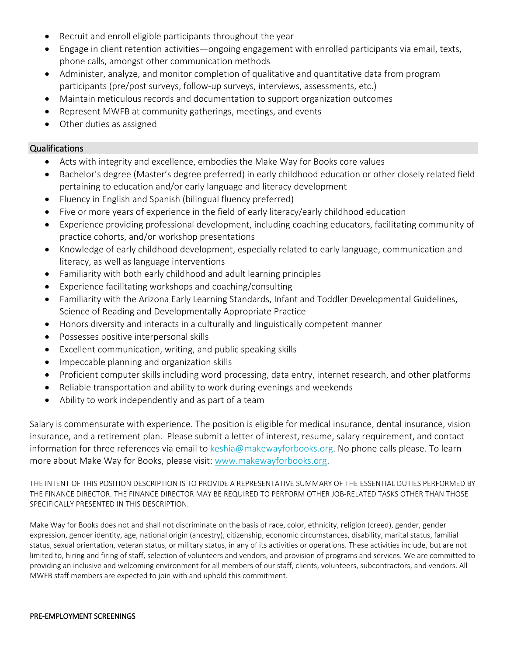- Recruit and enroll eligible participants throughout the year
- Engage in client retention activities—ongoing engagement with enrolled participants via email, texts, phone calls, amongst other communication methods
- Administer, analyze, and monitor completion of qualitative and quantitative data from program participants (pre/post surveys, follow-up surveys, interviews, assessments, etc.)
- Maintain meticulous records and documentation to support organization outcomes
- Represent MWFB at community gatherings, meetings, and events
- Other duties as assigned

## Qualifications

- Acts with integrity and excellence, embodies the Make Way for Books core values
- Bachelor's degree (Master's degree preferred) in early childhood education or other closely related field pertaining to education and/or early language and literacy development
- Fluency in English and Spanish (bilingual fluency preferred)
- Five or more years of experience in the field of early literacy/early childhood education
- Experience providing professional development, including coaching educators, facilitating community of practice cohorts, and/or workshop presentations
- Knowledge of early childhood development, especially related to early language, communication and literacy, as well as language interventions
- Familiarity with both early childhood and adult learning principles
- Experience facilitating workshops and coaching/consulting
- Familiarity with the Arizona Early Learning Standards, Infant and Toddler Developmental Guidelines, Science of Reading and Developmentally Appropriate Practice
- Honors diversity and interacts in a culturally and linguistically competent manner
- Possesses positive interpersonal skills
- Excellent communication, writing, and public speaking skills
- Impeccable planning and organization skills
- Proficient computer skills including word processing, data entry, internet research, and other platforms
- Reliable transportation and ability to work during evenings and weekends
- Ability to work independently and as part of a team

Salary is commensurate with experience. The position is eligible for medical insurance, dental insurance, vision insurance, and a retirement plan. Please submit a letter of interest, resume, salary requirement, and contact information for three references via email to keshia@makewayforbooks.org. No phone calls please. To learn more about Make Way for Books, please visit: [www.makewayforbooks.org.](http://www.makewayforbooks.org/)

THE INTENT OF THIS POSITION DESCRIPTION IS TO PROVIDE A REPRESENTATIVE SUMMARY OF THE ESSENTIAL DUTIES PERFORMED BY THE FINANCE DIRECTOR. THE FINANCE DIRECTOR MAY BE REQUIRED TO PERFORM OTHER JOB-RELATED TASKS OTHER THAN THOSE SPECIFICALLY PRESENTED IN THIS DESCRIPTION.

Make Way for Books does not and shall not discriminate on the basis of race, color, ethnicity, religion (creed), gender, gender expression, gender identity, age, national origin (ancestry), citizenship, economic circumstances, disability, marital status, familial status, sexual orientation, veteran status, or military status, in any of its activities or operations. These activities include, but are not limited to, hiring and firing of staff, selection of volunteers and vendors, and provision of programs and services. We are committed to providing an inclusive and welcoming environment for all members of our staff, clients, volunteers, subcontractors, and vendors. All MWFB staff members are expected to join with and uphold this commitment.